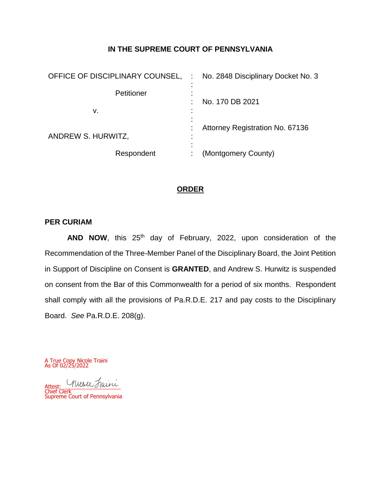## **IN THE SUPREME COURT OF PENNSYLVANIA**

| OFFICE OF DISCIPLINARY COUNSEL, | No. 2848 Disciplinary Docket No. 3 |
|---------------------------------|------------------------------------|
| Petitioner                      | No. 170 DB 2021                    |
| v.                              |                                    |
| ANDREW S. HURWITZ,              | Attorney Registration No. 67136    |
| Respondent                      | (Montgomery County)                |

## **ORDER**

#### **PER CURIAM**

AND NOW, this 25<sup>th</sup> day of February, 2022, upon consideration of the Recommendation of the Three-Member Panel of the Disciplinary Board, the Joint Petition in Support of Discipline on Consent is **GRANTED**, and Andrew S. Hurwitz is suspended on consent from the Bar of this Commonwealth for a period of six months. Respondent shall comply with all the provisions of Pa.R.D.E. 217 and pay costs to the Disciplinary Board. *See* Pa.R.D.E. 208(g).

A True Copy Nicole Traini As Of 02/25/2022

Attest: Attest: \_\_\_\_\_\_\_\_\_\_\_\_\_\_\_\_\_\_\_ Chief Clerk Supreme Court of Pennsylvania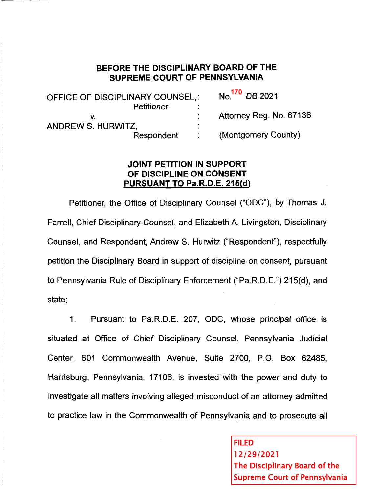# BEFORE THE DISCIPLINARY BOARD OF THE SUPREME COURT OF PENNSYLVANIA

 $\mathbf{1} = \mathbf{1}$ 

| OFFICE OF DISCIPLINARY COUNSEL,: |               | No. <sup>170</sup> DB 2021 |  |  |
|----------------------------------|---------------|----------------------------|--|--|
| Petitioner                       |               |                            |  |  |
|                                  |               | Attorney Reg. No. 67136    |  |  |
| ANDREW S. HURWITZ,               | $\bullet$     |                            |  |  |
| Respondent                       | $\mathcal{L}$ | (Montgomery County)        |  |  |

## **JOINT PETITION IN SUPPORT** OF DISCIPLINE ON CONSENT **PURSUANT TO Pa.R.D.E. 215(d)**

Petitioner, the Office of Disciplinary Counsel ("ODC"), by Thomas J. Farrell, Chief Disciplinary Counsel, and Elizabeth A. Livingston, Disciplinary Counsel, and Respondent, Andrew S. Hurwitz ("Respondent"), respectfully petition the Disciplinary Board in support of discipline on consent, pursuant to Pennsylvania Rule of Disciplinary Enforcement ("Pa.R.D.E.") 215(d), and state:

Pursuant to Pa.R.D.E. 207, ODC, whose principal office is  $\mathbf 1$ . situated at Office of Chief Disciplinary Counsel, Pennsylvania Judicial Center, 601 Commonwealth Avenue, Suite 2700, P.O. Box 62485, Harrisburg, Pennsylvania, 17106, is invested with the power and duty to investigate all matters involving alleged misconduct of an attorney admitted to practice law in the Commonwealth of Pennsylvania and to prosecute all

> **FILED** 12/29/2021 The Disciplinary Board of the **Supreme Court of Pennsylvania**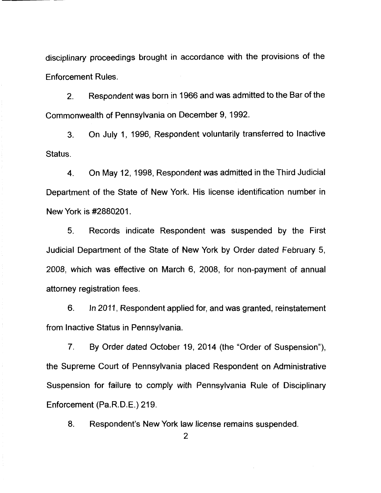disciplinary proceedings brought in accordance with the provisions of the **Enforcement Rules.** 

Respondent was born in 1966 and was admitted to the Bar of the  $2.$ Commonwealth of Pennsylvania on December 9, 1992.

On July 1, 1996. Respondent voluntarily transferred to Inactive  $3<sub>1</sub>$ Status.

On May 12, 1998. Respondent was admitted in the Third Judicial  $\mathbf{4}$ . Department of the State of New York. His license identification number in New York is #2880201.

 $5<sub>1</sub>$ Records indicate Respondent was suspended by the First Judicial Department of the State of New York by Order dated February 5, 2008, which was effective on March 6, 2008, for non-payment of annual attorney registration fees.

6. In 2011, Respondent applied for, and was granted, reinstatement from Inactive Status in Pennsylvania.

By Order dated October 19, 2014 (the "Order of Suspension"),  $7<sub>1</sub>$ the Supreme Court of Pennsylvania placed Respondent on Administrative Suspension for failure to comply with Pennsylvania Rule of Disciplinary Enforcement (Pa.R.D.E.) 219.

8. Respondent's New York law license remains suspended.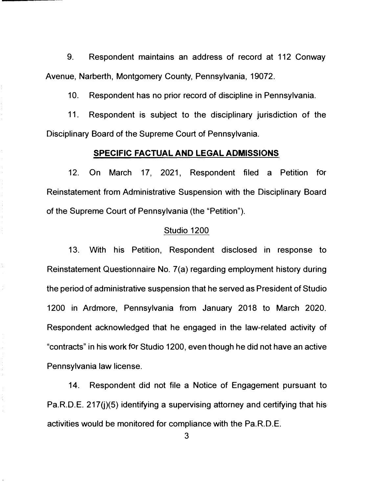9. Respondent maintains an address of record at 112 Conway Avenue, Narberth, Montgomery County, Pennsylvania, 19072.

10. Respondent has no prior record of discipline in Pennsylvania.

11. Respondent is subject to the disciplinary jurisdiction of the Disciplinary Board of the Supreme Court of Pennsylvania.

#### **SPECIFIC FACTUAL AND LEGAL ADMISSIONS**

12. On March 17, 2021, Respondent filed a Petition for Reinstatement from Administrative Suspension with the Disciplinary Board of the Supreme Court of Pennsylvania (the "Petition").

#### Studio 1200

13. With his Petition, Respondent disclosed in response to Reinstatement Questionnaire No. 7(a) regarding employment history during the period of administrative suspension that he served as President of Studio 1200 in Ardmore, Pennsylvania from January 2018 to March 2020. Respondent acknowledged that he engaged in the law-related activity of "contracts" in his work for Studio 1200, even though he did not have an active Pennsylvania law license.

14. Respondent did not file a Notice of Engagement pursuant to Pa.R.D.E. 217( $i$ )(5) identifying a supervising attorney and certifying that his activities would be monitored for compliance with the Pa.R.D.E.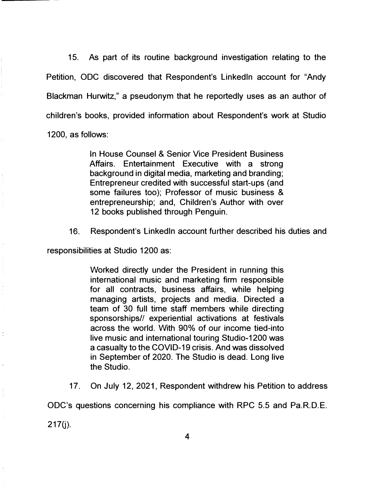15. As part of its routine background investigation relating to the Petition, ODC discovered that Respondent's Linkedln account for "Andy Blackman Hurwitz," a pseudonym that he reportedly uses as an author of children's books, provided information about Respondent's work at Studio 1200, as follows:

> In House Counsel & Senior Vice President Business Affairs. Entertainment Executive with a strong background in digital media, marketing and branding; Entrepreneur credited with successful start-ups (and some failures too); Professor of music business & entrepreneurship; and, Children's Author with over 12 books published through Penguin.

16. Respondent's Linkedln account further described his duties and

responsibilities at Studio 1200 as:

Worked directly under the President in running this international music and marketing firm responsible for all contracts, business affairs, while helping managing artists, projects and media. Directed a team of 30 full time staff members while directing sponsorships// experiential activations at festivals across the world. With 90% of our income tied-into live music and international touring Studio-1200 was a casualty to the COVID-19 crisis. And was dissolved in September of 2020. The Studio is dead. Long live the Studio.

17. On July 12, 2021, Respondent withdrew his Petition to address

ODC's questions concerning his compliance with RPC 5.5 and Pa.R.D.E.

 $217(j)$ .

÷,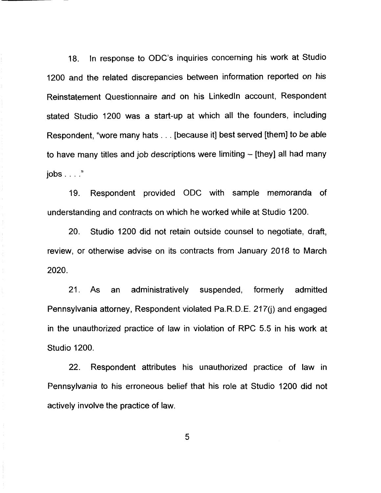In response to ODC's inquiries concerning his work at Studio  $18.$ 1200 and the related discrepancies between information reported on his Reinstatement Questionnaire and on his LinkedIn account, Respondent stated Studio 1200 was a start-up at which all the founders, including Respondent, "wore many hats . . . [because it] best served [them] to be able to have many titles and job descriptions were limiting  $-$  [they] all had many  $i$ obs  $\ldots$ ."

Respondent provided ODC with sample memoranda of  $19.$ understanding and contracts on which he worked while at Studio 1200.

20. Studio 1200 did not retain outside counsel to negotiate, draft, review, or otherwise advise on its contracts from January 2018 to March 2020.

 $21.$ As administratively an suspended, formerly admitted Pennsylvania attorney, Respondent violated Pa.R.D.E. 217(i) and engaged in the unauthorized practice of law in violation of RPC 5.5 in his work at **Studio 1200.** 

 $22.$ Respondent attributes his unauthorized practice of law in Pennsylvania to his erroneous belief that his role at Studio 1200 did not actively involve the practice of law.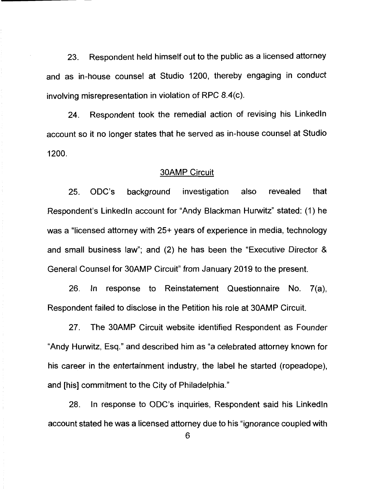Respondent held himself out to the public as a licensed attorney 23. and as in-house counsel at Studio 1200, thereby engaging in conduct involving misrepresentation in violation of RPC 8.4(c).

Respondent took the remedial action of revising his LinkedIn 24 account so it no longer states that he served as in-house counsel at Studio 1200.

#### **30AMP Circuit**

25. ODC's background investigation also revealed that Respondent's LinkedIn account for "Andy Blackman Hurwitz" stated: (1) he was a "licensed attorney with 25+ years of experience in media, technology and small business law"; and (2) he has been the "Executive Director & General Counsel for 30AMP Circuit" from January 2019 to the present.

26. In response to Reinstatement Questionnaire No. 7(a), Respondent failed to disclose in the Petition his role at 30AMP Circuit.

27. The 30AMP Circuit website identified Respondent as Founder "Andy Hurwitz, Esg." and described him as "a celebrated attorney known for his career in the entertainment industry, the label he started (ropeadope), and [his] commitment to the City of Philadelphia."

28. In response to ODC's inquiries, Respondent said his LinkedIn account stated he was a licensed attorney due to his "ignorance coupled with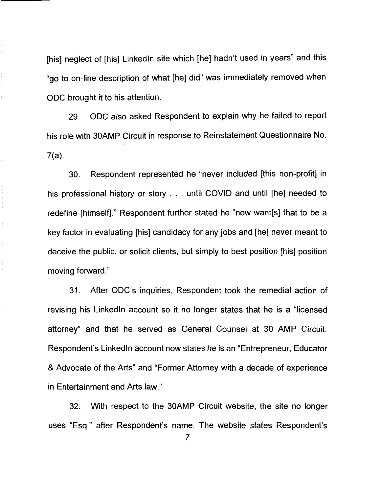[his] neglect of [his] LinkedIn site which [he] hadn't used in years" and this "go to on-line description of what [he] did" was immediately removed when ODC brought it to his attention.

ODC also asked Respondent to explain why he failed to report 29. his role with 30AMP Circuit in response to Reinstatement Questionnaire No.  $7(a)$ .

Respondent represented he "never included [this non-profit] in 30. his professional history or story . . . until COVID and until [he] needed to redefine [himself]." Respondent further stated he "now want[s] that to be a key factor in evaluating [his] candidacy for any jobs and [he] never meant to deceive the public, or solicit clients, but simply to best position [his] position moving forward."

 $31.$ After ODC's inquiries. Respondent took the remedial action of revising his LinkedIn account so it no longer states that he is a "licensed" attorney" and that he served as General Counsel at 30 AMP Circuit. Respondent's LinkedIn account now states he is an "Entrepreneur, Educator" & Advocate of the Arts" and "Former Attorney with a decade of experience in Entertainment and Arts law."

32. With respect to the 30AMP Circuit website, the site no longer uses "Esq." after Respondent's name. The website states Respondent's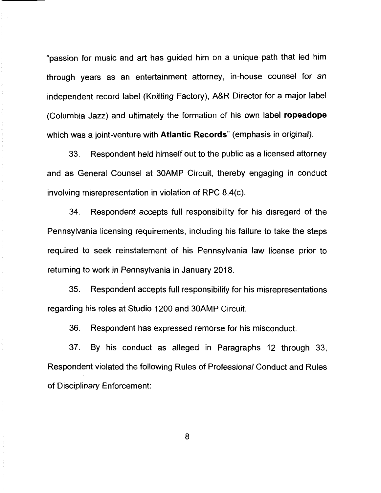"passion for music and art has quided him on a unique path that led him through years as an entertainment attorney, in-house counsel for an independent record label (Knitting Factory), A&R Director for a major label (Columbia Jazz) and ultimately the formation of his own label ropeadope which was a joint-venture with **Atlantic Records**" (emphasis in original).

33. Respondent held himself out to the public as a licensed attorney and as General Counsel at 30AMP Circuit, thereby engaging in conduct involving misrepresentation in violation of RPC 8.4(c).

34 Respondent accepts full responsibility for his disregard of the Pennsylvania licensing requirements, including his failure to take the steps required to seek reinstatement of his Pennsylvania law license prior to returning to work in Pennsylvania in January 2018.

35. Respondent accepts full responsibility for his misrepresentations regarding his roles at Studio 1200 and 30AMP Circuit.

36. Respondent has expressed remorse for his misconduct.

37. By his conduct as alleged in Paragraphs 12 through 33. Respondent violated the following Rules of Professional Conduct and Rules of Disciplinary Enforcement: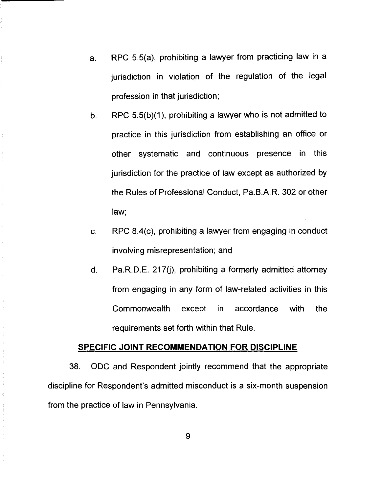- RPC 5.5(a), prohibiting a lawyer from practicing law in a a. jurisdiction in violation of the regulation of the legal profession in that jurisdiction;
- RPC 5.5(b)(1), prohibiting a lawyer who is not admitted to  $b<sub>1</sub>$ practice in this jurisdiction from establishing an office or other systematic and continuous presence in this jurisdiction for the practice of law except as authorized by the Rules of Professional Conduct, Pa.B.A.R. 302 or other law;
- RPC 8.4(c), prohibiting a lawyer from engaging in conduct C. involving misrepresentation; and
- d. Pa.R.D.E. 217(i), prohibiting a formerly admitted attorney from engaging in any form of law-related activities in this Commonwealth except in. accordance with the requirements set forth within that Rule.

### SPECIFIC JOINT RECOMMENDATION FOR DISCIPLINE

38. ODC and Respondent jointly recommend that the appropriate discipline for Respondent's admitted misconduct is a six-month suspension from the practice of law in Pennsylvania.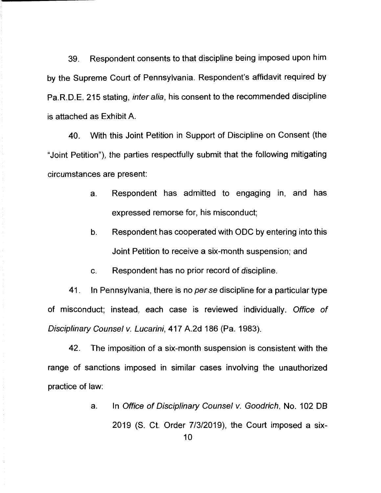39. Respondent consents to that discipline being imposed upon him by the Supreme Court of Pennsylvania. Respondent's affidavit required by Pa.R.D.E. 215 stating, *inter alia*, his consent to the recommended discipline is attached as Exhibit A.

With this Joint Petition in Support of Discipline on Consent (the 40. "Joint Petition"), the parties respectfully submit that the following mitigating circumstances are present:

- Respondent has admitted to engaging in, and has a. expressed remorse for, his misconduct;
- $\mathbf b$ . Respondent has cooperated with ODC by entering into this Joint Petition to receive a six-month suspension; and
- Respondent has no prior record of discipline. C.

41. In Pennsylvania, there is no per se discipline for a particular type of misconduct; instead, each case is reviewed individually. Office of Disciplinary Counsel v. Lucarini, 417 A.2d 186 (Pa. 1983).

 $42.$ The imposition of a six-month suspension is consistent with the range of sanctions imposed in similar cases involving the unauthorized practice of law:

> In Office of Disciplinary Counsel v. Goodrich, No. 102 DB a. 2019 (S. Ct. Order 7/3/2019), the Court imposed a six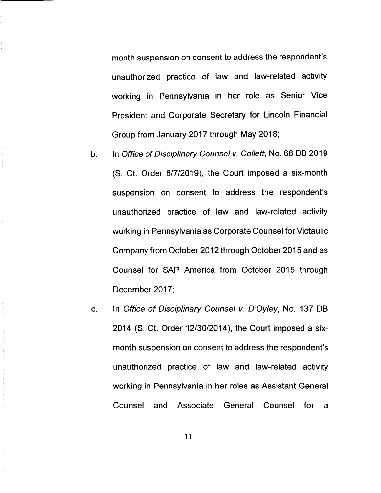month suspension on consent to address the respondent's unauthorized practice of law and law-related activity working in Pennsylvania in her role as Senior Vice President and Corporate Secretary for Lincoln Financial Group from January 2017 through May 2018;

- In Office of Disciplinary Counsel v. Collett, No. 68 DB 2019  $b<sub>1</sub>$ (S. Ct. Order 6/7/2019), the Court imposed a six-month suspension on consent to address the respondent's unauthorized practice of law and law-related activity working in Pennsylvania as Corporate Counsel for Victaulic Company from October 2012 through October 2015 and as Counsel for SAP America from October 2015 through December 2017;
- In Office of Disciplinary Counsel v. D'Oyley, No. 137 DB  $C_{1}$ 2014 (S. Ct. Order 12/30/2014), the Court imposed a sixmonth suspension on consent to address the respondent's unauthorized practice of law and law-related activity working in Pennsylvania in her roles as Assistant General Counsel and Associate General Counsel  $for$ a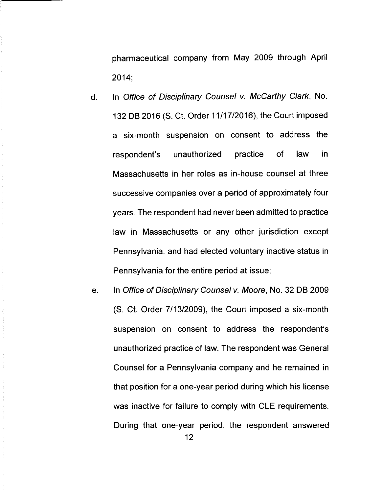pharmaceutical company from May 2009 through April  $2014:$ 

- In Office of Disciplinary Counsel v. McCarthy Clark, No.  $\mathsf{d}$ . 132 DB 2016 (S. Ct. Order 11/17/2016), the Court imposed a six-month suspension on consent to address the unauthorized practice  $\mathsf{of}$ law in. respondent's Massachusetts in her roles as in-house counsel at three successive companies over a period of approximately four years. The respondent had never been admitted to practice law in Massachusetts or any other jurisdiction except Pennsylvania, and had elected voluntary inactive status in Pennsylvania for the entire period at issue;
- In Office of Disciplinary Counsel v. Moore, No. 32 DB 2009 e. (S. Ct. Order 7/13/2009), the Court imposed a six-month suspension on consent to address the respondent's unauthorized practice of law. The respondent was General Counsel for a Pennsylvania company and he remained in that position for a one-year period during which his license was inactive for failure to comply with CLE requirements. During that one-year period, the respondent answered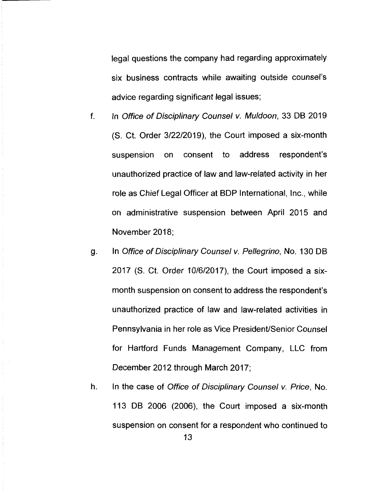legal questions the company had regarding approximately six business contracts while awaiting outside counsel's advice regarding significant legal issues;

- $f<sub>r</sub>$ In Office of Disciplinary Counsel v. Muldoon, 33 DB 2019 (S. Ct. Order 3/22/2019), the Court imposed a six-month address respondent's suspension on consent to unauthorized practice of law and law-related activity in her role as Chief Legal Officer at BDP International, Inc., while on administrative suspension between April 2015 and November 2018:
- In Office of Disciplinary Counsel v. Pellegrino, No. 130 DB g. 2017 (S. Ct. Order 10/6/2017), the Court imposed a sixmonth suspension on consent to address the respondent's unauthorized practice of law and law-related activities in Pennsylvania in her role as Vice President/Senior Counsel for Hartford Funds Management Company, LLC from December 2012 through March 2017;
- h. In the case of Office of Disciplinary Counsel v. Price, No. 113 DB 2006 (2006), the Court imposed a six-month suspension on consent for a respondent who continued to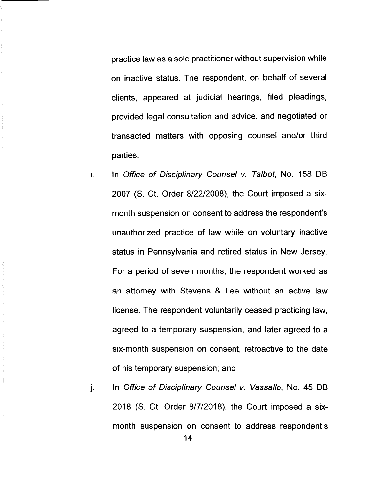practice law as a sole practitioner without supervision while on inactive status. The respondent, on behalf of several clients, appeared at judicial hearings, filed pleadings, provided legal consultation and advice, and negotiated or transacted matters with opposing counsel and/or third parties;

- In Office of Disciplinary Counsel v. Talbot, No. 158 DB i. 2007 (S. Ct. Order 8/22/2008), the Court imposed a sixmonth suspension on consent to address the respondent's unauthorized practice of law while on voluntary inactive status in Pennsylvania and retired status in New Jersey. For a period of seven months, the respondent worked as an attorney with Stevens & Lee without an active law license. The respondent voluntarily ceased practicing law, agreed to a temporary suspension, and later agreed to a six-month suspension on consent, retroactive to the date of his temporary suspension; and
- In Office of Disciplinary Counsel v. Vassallo, No. 45 DB j. 2018 (S. Ct. Order 8/7/2018), the Court imposed a sixmonth suspension on consent to address respondent's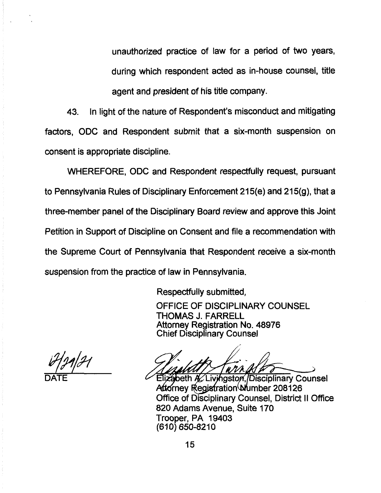unauthorized practice of law for a period of two years, during which respondent acted as in-house counsel, title agent and president of his title company.

In light of the nature of Respondent's misconduct and mitigating 43 factors, ODC and Respondent submit that a six-month suspension on consent is appropriate discipline.

WHEREFORE, ODC and Respondent respectfully request, pursuant to Pennsylvania Rules of Disciplinary Enforcement 215(e) and 215(g), that a three-member panel of the Disciplinary Board review and approve this Joint Petition in Support of Discipline on Consent and file a recommendation with the Supreme Court of Pennsylvania that Respondent receive a six-month suspension from the practice of law in Pennsylvania.

Respectfully submitted,

OFFICE OF DISCIPLINARY COUNSEL **THOMAS J. FARRELL Attorney Registration No. 48976 Chief Disciplinary Counsel** 

Elizabeth A. Livingston / Disciplinary Counsel Attorney Registration Number 208126 Office of Disciplinary Counsel, District II Office 820 Adams Avenue. Suite 170 Trooper, PA 19403 (610) 650-8210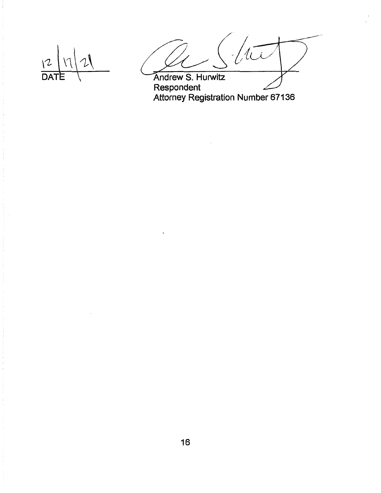$\sqrt{2}$ **DAT** 

Andrew S. Hurwitz<br>Respondent<br>Attorney Registration Number 67136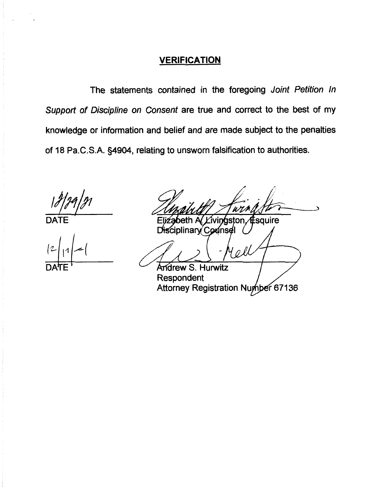# **VERIFICATION**

The statements contained in the foregoing Joint Petition In Support of Discipline on Consent are true and correct to the best of my knowledge or information and belief and are made subject to the penalties of 18 Pa.C.S.A. §4904, relating to unsworn falsification to authorities.

sauire m

ciplinary Counsel

 $\rho f$ Andrew S. Hurwitz Respondent Attorney Registration Number 67136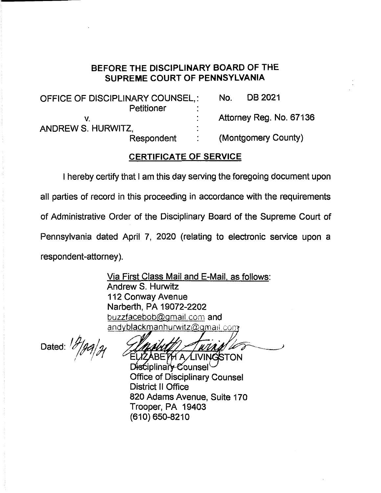# BEFORE THE DISCIPLINARY BOARD OF THE SUPREME COURT OF PENNSYLVANIA

| OFFICE OF DISCIPLINARY COUNSEL,: |  | No. | DB 2021                 |
|----------------------------------|--|-----|-------------------------|
| Petitioner                       |  |     |                         |
|                                  |  |     | Attorney Reg. No. 67136 |
| ANDREW S. HURWITZ,               |  |     |                         |
| Respondent                       |  |     | (Montgomery County)     |

# **CERTIFICATE OF SERVICE**

I hereby certify that I am this day serving the foregoing document upon

all parties of record in this proceeding in accordance with the requirements

of Administrative Order of the Disciplinary Board of the Supreme Court of

Pennsylvania dated April 7, 2020 (relating to electronic service upon a

respondent-attorney).

Via First Class Mail and E-Mail, as follows: Andrew S. Hurwitz 112 Conway Avenue Narberth, PA 19072-2202 buzzfacebob@gmail.com and andyblackmanhurwitz@gmail.com

Dated:  $\frac{1}{\sqrt{2}}$ 

**BETH A LIVINGSTON** Disciplinary Counsel **Office of Disciplinary Counsel District II Office** 820 Adams Avenue, Suite 170 Trooper, PA 19403 (610) 650-8210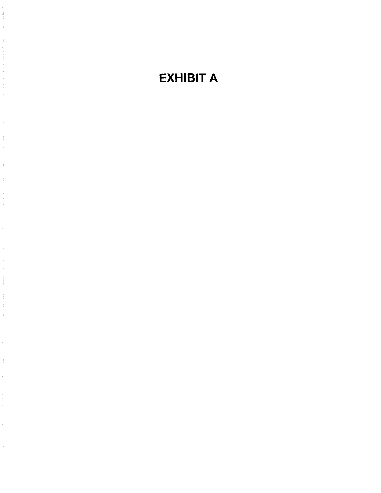# **EXHIBIT A**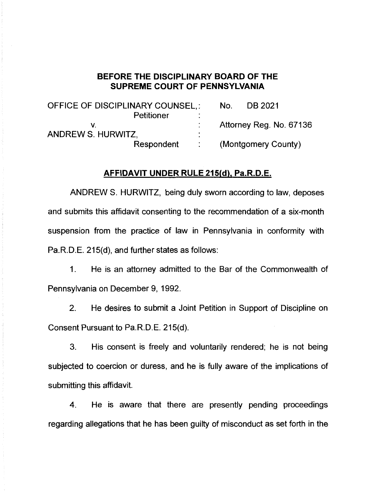## BEFORE THE DISCIPLINARY BOARD OF THE **SUPREME COURT OF PENNSYLVANIA**

| OFFICE OF DISCIPLINARY COUNSEL,: |                   | No. | DB 2021                 |
|----------------------------------|-------------------|-----|-------------------------|
| Petitioner                       |                   |     |                         |
|                                  |                   |     | Attorney Reg. No. 67136 |
| <b>ANDREW S. HURWITZ,</b>        |                   |     |                         |
| Respondent                       | $\sim$ 100 $\sim$ |     | (Montgomery County)     |

#### AFFIDAVIT UNDER RULE 215(d), Pa.R.D.E.

ANDREW S. HURWITZ, being duly sworn according to law, deposes and submits this affidavit consenting to the recommendation of a six-month suspension from the practice of law in Pennsylvania in conformity with Pa.R.D.E. 215(d), and further states as follows:

 $1<sub>1</sub>$ He is an attorney admitted to the Bar of the Commonwealth of Pennsylvania on December 9, 1992.

 $2<sub>1</sub>$ He desires to submit a Joint Petition in Support of Discipline on Consent Pursuant to Pa.R.D.E. 215(d).

3. His consent is freely and voluntarily rendered; he is not being subjected to coercion or duress, and he is fully aware of the implications of submitting this affidavit.

He is aware that there are presently pending proceedings 4. regarding allegations that he has been guilty of misconduct as set forth in the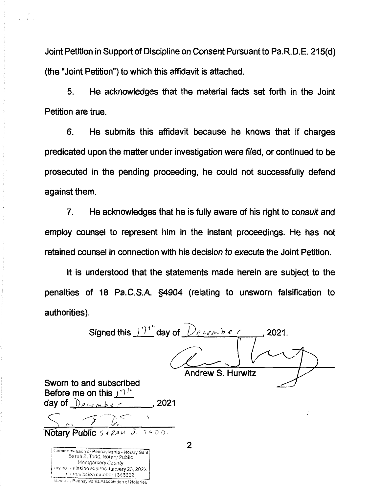Joint Petition in Support of Discipline on Consent Pursuant to Pa.R.D.E. 215(d) (the "Joint Petition") to which this affidavit is attached.

5. He acknowledges that the material facts set forth in the Joint Petition are true.

He submits this affidavit because he knows that if charges 6. predicated upon the matter under investigation were filed, or continued to be prosecuted in the pending proceeding, he could not successfully defend against them.

 $\overline{7}$ . He acknowledges that he is fully aware of his right to consult and employ counsel to represent him in the instant proceedings. He has not retained counsel in connection with his decision to execute the Joint Petition.

It is understood that the statements made herein are subject to the penalties of 18 Pa.C.S.A. §4904 (relating to unsworn falsification to authorities).

Signed this  $17<sup>1</sup>$  day of  $\sqrt{2}$  example  $\sqrt{2}$  , 2021. **Andrew S. Hurwitz** 

Sworn to and subscribed Before me on this  $\mathbf{I}^{\mathcal{D}^{\mathcal{U}}}$ day of  $Decenbe \sim$  2021

Notary Public 5 4 RA U

| Commonwealth of Pennsylvania - Notary Seal    |
|-----------------------------------------------|
| Sarah B. Todd, Motary Public                  |
| Montgornery County                            |
| rily commission expires January 23, 2023      |
| Cornmission number 1345662                    |
| Meniber, Pennsylvania Association of Notaries |